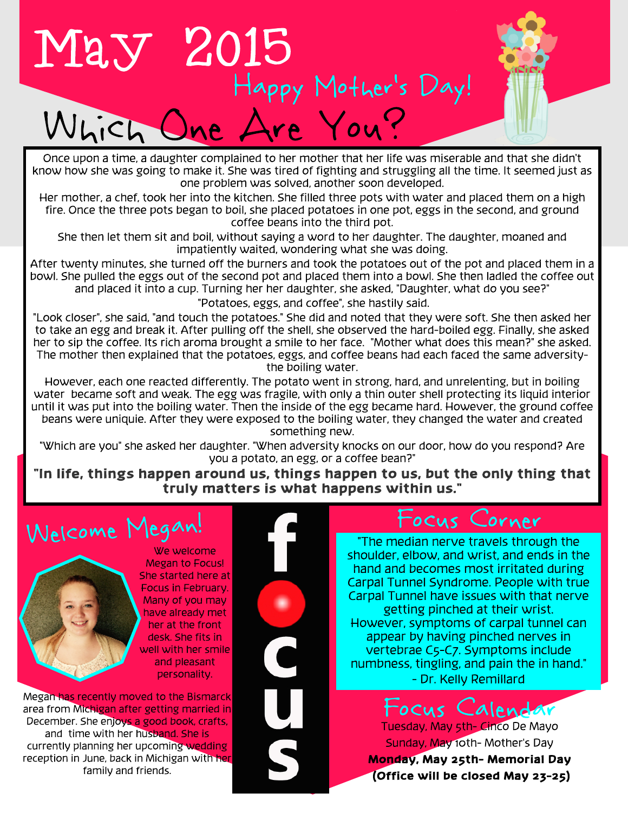

Once upon a time, a daughter complained to her mother that her life was miserable and that she didn't know how she was going to make it. She was tired of fighting and struggling all the time. It seemed just as one problem was solved, another soon developed.

Her mother, a chef, took her into the kitchen. She filled three pots with water and placed them on a high fire. Once the three pots began to boil, she placed potatoes in one pot, eggs in the second, and ground coffee beans into the third pot.

She then let them sit and boil, without saying a word to her daughter. The daughter, moaned and impatiently waited, wondering what she was doing.

After twenty minutes, she turned off the burners and took the potatoes out of the bowl. She pulled the eggs out of the second pot and placed them into a bowl. She and placed it into a cup. Turning her her daughter, she ask After twenty minutes, she turned off the burners and took the potatoes out of the pot and placed them in a bowl. She pulled the eggs out of the second pot and placed them into a bowl. She then ladled the coffee out and placed it into a cup. Turning her her daughter, she asked, "Daughter, what do you see?"

"Potatoes, eggs, and coffee", she hastily said.

"Look closer", she said, "and touch the potatoes." She did and noted that they were soft. She then asked her to take an egg and break it. After pulling off the shell, she observed the hard-boiled egg. Finally, she asked her to sip the coffee. Its rich aroma brought a smile to her face. "Mother what does this mean?" she asked. The mother then explained that the potatoes, eggs, and coffee beans had each faced the same adversitythe boiling water.

However, each one reacted differently. The potato went in strong, hard, and unrelenting, but in boiling water became soft and weak. The egg was fragile, with only a thin outer shell protecting its liquid interior until it was put into the boiling water. Then the inside of the egg became hard. However, the ground coffee beans were uniquie. After they were exposed to the boiling water, they changed the water and created something new.

"Which are you" she asked her daughter. "When adversity knocks on our door, how do you respond? Are you a potato, an egg, or a coffee bean?"

"In life, things happen around us, things happen to us, but the only thing that truly matters is what happens within us."

### Welcome Megan!



Megan to Focus! She started here at Focus in February. Many of you may have already met her at the front desk. She fits in well with her smile and pleasant personality.

We welcome

Megan has recently moved to the Bismarck area from Michigan after getting married in December. She enjoys a good book, crafts, and time with her husband. She is currently planning her upcoming wedding reception in June, back in Michigan with her family and friends.

#### -ocus Corner

"The median nerve travels through the shoulder, elbow, and wrist, and ends in the hand and becomes most irritated during Carpal Tunnel Syndrome. People with true Carpal Tunnel have issues with that nerve getting pinched at their wrist. However, symptoms of carpal tunnel can appear by having pinched nerves in vertebrae C5-C7. Symptoms include numbness, tingling, and pain the in hand." - Dr. Kelly Remillard

Tuesday, May 5th- Cinco De Mayo Sunday, May 10th- Mother's Day Monday, May 25th- Memorial Day  $(Office will be closed May 23-25)$ Focus Calendar